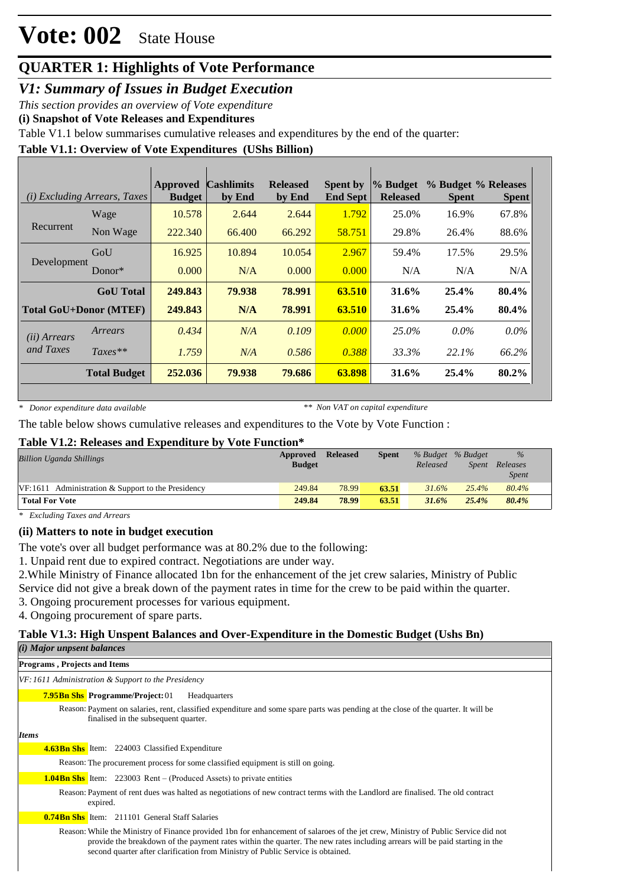# **Vote: 002** State House

## **QUARTER 1: Highlights of Vote Performance**

*V1: Summary of Issues in Budget Execution*

*This section provides an overview of Vote expenditure* 

**(i) Snapshot of Vote Releases and Expenditures**

Table V1.1 below summarises cumulative releases and expenditures by the end of the quarter:

#### **Table V1.1: Overview of Vote Expenditures (UShs Billion)**

| ( <i>i</i> ) Excluding Arrears, Taxes |                               | <b>Approved</b><br><b>Budget</b> | <b>Cashlimits</b><br>by End | <b>Released</b><br>by End | <b>Spent by</b><br><b>End Sept</b> | % Budget<br><b>Released</b> | % Budget % Releases<br><b>Spent</b> | <b>Spent</b> |
|---------------------------------------|-------------------------------|----------------------------------|-----------------------------|---------------------------|------------------------------------|-----------------------------|-------------------------------------|--------------|
|                                       | Wage                          | 10.578                           | 2.644                       | 2.644                     | 1.792                              | 25.0%                       | 16.9%                               | 67.8%        |
| Recurrent                             | Non Wage                      | 222.340                          | 66.400                      | 66.292                    | 58.751                             | 29.8%                       | 26.4%                               | 88.6%        |
|                                       | GoU                           | 16.925                           | 10.894                      | 10.054                    | 2.967                              | 59.4%                       | 17.5%                               | 29.5%        |
| Development                           | Donor $*$                     | 0.000                            | N/A                         | 0.000                     | 0.000                              | N/A                         | N/A                                 | N/A          |
|                                       | <b>GoU</b> Total              | 249.843                          | 79.938                      | 78.991                    | 63.510                             | 31.6%                       | 25.4%                               | 80.4%        |
|                                       | <b>Total GoU+Donor (MTEF)</b> | 249.843                          | N/A                         | 78.991                    | 63.510                             | 31.6%                       | 25.4%                               | 80.4%        |
| (ii) Arrears                          | Arrears                       | 0.434                            | N/A                         | 0.109                     | 0.000                              | $25.0\%$                    | $0.0\%$                             | $0.0\%$      |
| and Taxes                             | $Taxes**$                     | 1.759                            | N/A                         | 0.586                     | 0.388                              | 33.3%                       | 22.1%                               | 66.2%        |
|                                       | <b>Total Budget</b>           | 252.036                          | 79.938                      | 79.686                    | 63.898                             | 31.6%                       | 25.4%                               | 80.2%        |

*\* Donor expenditure data available*

*\*\* Non VAT on capital expenditure*

The table below shows cumulative releases and expenditures to the Vote by Vote Function :

#### **Table V1.2: Releases and Expenditure by Vote Function\***

| <b>Billion Uganda Shillings</b>                      | Approved<br><b>Budget</b> | <b>Released</b> | <b>Spent</b> | % Budget % Budget<br>Released | Spent | $\%$<br>Releases<br><i>Spent</i> |  |
|------------------------------------------------------|---------------------------|-----------------|--------------|-------------------------------|-------|----------------------------------|--|
| $VF:1611$ Administration & Support to the Presidency | 249.84                    | 78.99           | 63.51        | 31.6%                         | 25.4% | 80.4%                            |  |
| <b>Total For Vote</b>                                | 249.84                    | 78.99           | 63.51        | 31.6%                         | 25.4% | 80.4%                            |  |

*\* Excluding Taxes and Arrears*

#### **(ii) Matters to note in budget execution**

The vote's over all budget performance was at 80.2% due to the following:

1. Unpaid rent due to expired contract. Negotiations are under way.

2.While Ministry of Finance allocated 1bn for the enhancement of the jet crew salaries, Ministry of Public

Service did not give a break down of the payment rates in time for the crew to be paid within the quarter.

3. Ongoing procurement processes for various equipment.

4. Ongoing procurement of spare parts.

#### **Table V1.3: High Unspent Balances and Over-Expenditure in the Domestic Budget (Ushs Bn)**

| (i) Major unpsent balances                                                                                                                                                                                                                                                                                                                           |
|------------------------------------------------------------------------------------------------------------------------------------------------------------------------------------------------------------------------------------------------------------------------------------------------------------------------------------------------------|
| <b>Programs, Projects and Items</b>                                                                                                                                                                                                                                                                                                                  |
| VF: 1611 Administration & Support to the Presidency                                                                                                                                                                                                                                                                                                  |
| <b>7.95Bn Shs Programme/Project: 01</b><br>Headquarters                                                                                                                                                                                                                                                                                              |
| Reason: Payment on salaries, rent, classified expenditure and some spare parts was pending at the close of the quarter. It will be<br>finalised in the subsequent quarter.                                                                                                                                                                           |
| <b>Items</b>                                                                                                                                                                                                                                                                                                                                         |
| <b>4.63Bn Shs</b> Item: 224003 Classified Expenditure                                                                                                                                                                                                                                                                                                |
| Reason: The procurement process for some classified equipment is still on going.                                                                                                                                                                                                                                                                     |
| <b>1.04Bn Shs</b> Item: 223003 Rent – (Produced Assets) to private entities                                                                                                                                                                                                                                                                          |
| Reason: Payment of rent dues was halted as negotiations of new contract terms with the Landlord are finalised. The old contract<br>expired.                                                                                                                                                                                                          |
| <b>0.74Bn Shs</b> Item: 211101 General Staff Salaries                                                                                                                                                                                                                                                                                                |
| Reason: While the Ministry of Finance provided 1bn for enhancement of salaroes of the jet crew, Ministry of Public Service did not<br>provide the breakdown of the payment rates within the quarter. The new rates including arrears will be paid starting in the<br>second quarter after clarification from Ministry of Public Service is obtained. |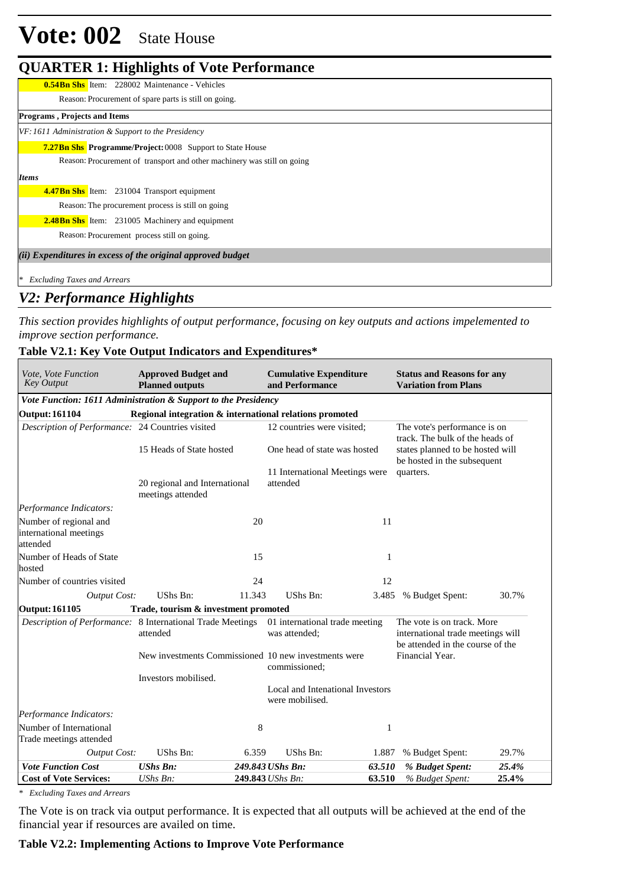# **Vote: 002** State House

### **QUARTER 1: Highlights of Vote Performance**

| ້                                                                       |
|-------------------------------------------------------------------------|
| <b>0.54Bn Shs</b> Item: 228002 Maintenance - Vehicles                   |
| Reason: Procurement of spare parts is still on going.                   |
| <b>Programs, Projects and Items</b>                                     |
| VF: 1611 Administration & Support to the Presidency                     |
| <b>7.27Bn Shs</b> Programme/Project: 0008 Support to State House        |
| Reason: Procurement of transport and other machinery was still on going |
| <b>Items</b>                                                            |
| <b>4.47Bn Shs</b> Item: 231004 Transport equipment                      |
| Reason: The procurement process is still on going                       |
| <b>2.48Bn Shs</b> Item: 231005 Machinery and equipment                  |
| Reason: Procurement process still on going.                             |
| (ii) Expenditures in excess of the original approved budget             |
| $\ast$<br><b>Excluding Taxes and Arrears</b>                            |

## *V2: Performance Highlights*

*This section provides highlights of output performance, focusing on key outputs and actions impelemented to improve section performance.*

 $\overline{\phantom{0}}$ 

#### **Table V2.1: Key Vote Output Indicators and Expenditures\***

| Vote, Vote Function<br><b>Key Output</b>                       | <b>Approved Budget and</b><br><b>Planned outputs</b> |        | <b>Cumulative Expenditure</b><br>and Performance                      |        | <b>Status and Reasons for any</b><br><b>Variation from Plans</b>                                                                   |       |  |  |  |
|----------------------------------------------------------------|------------------------------------------------------|--------|-----------------------------------------------------------------------|--------|------------------------------------------------------------------------------------------------------------------------------------|-------|--|--|--|
| Vote Function: 1611 Administration & Support to the Presidency |                                                      |        |                                                                       |        |                                                                                                                                    |       |  |  |  |
| <b>Output: 161104</b>                                          |                                                      |        | Regional integration & international relations promoted               |        |                                                                                                                                    |       |  |  |  |
| Description of Performance: 24 Countries visited               |                                                      |        | 12 countries were visited;                                            |        | The vote's performance is on<br>track. The bulk of the heads of<br>states planned to be hosted will<br>be hosted in the subsequent |       |  |  |  |
|                                                                | 15 Heads of State hosted                             |        | One head of state was hosted                                          |        |                                                                                                                                    |       |  |  |  |
|                                                                | 20 regional and International<br>meetings attended   |        | 11 International Meetings were<br>attended                            |        | quarters.                                                                                                                          |       |  |  |  |
| Performance Indicators:                                        |                                                      |        |                                                                       |        |                                                                                                                                    |       |  |  |  |
| Number of regional and<br>international meetings<br>attended   |                                                      | 20     |                                                                       | 11     |                                                                                                                                    |       |  |  |  |
| Number of Heads of State<br>hosted                             |                                                      | 15     |                                                                       | 1      |                                                                                                                                    |       |  |  |  |
| Number of countries visited                                    |                                                      | 24     |                                                                       | 12     |                                                                                                                                    |       |  |  |  |
| <b>Output Cost:</b>                                            | UShs Bn:                                             | 11.343 | <b>UShs Bn:</b>                                                       | 3.485  | % Budget Spent:                                                                                                                    | 30.7% |  |  |  |
| <b>Output: 161105</b>                                          | Trade, tourism & investment promoted                 |        |                                                                       |        |                                                                                                                                    |       |  |  |  |
| Description of Performance: 8 International Trade Meetings     | attended                                             |        | 01 international trade meeting<br>was attended:                       |        | The vote is on track. More<br>international trade meetings will<br>be attended in the course of the                                |       |  |  |  |
|                                                                |                                                      |        | New investments Commissioned 10 new investments were<br>commissioned; |        | Financial Year.                                                                                                                    |       |  |  |  |
|                                                                | Investors mobilised.                                 |        |                                                                       |        |                                                                                                                                    |       |  |  |  |
|                                                                |                                                      |        | Local and Intenational Investors<br>were mobilised.                   |        |                                                                                                                                    |       |  |  |  |
| Performance Indicators:                                        |                                                      |        |                                                                       |        |                                                                                                                                    |       |  |  |  |
| Number of International<br>Trade meetings attended             |                                                      | 8      |                                                                       | 1      |                                                                                                                                    |       |  |  |  |
| <b>Output Cost:</b>                                            | UShs Bn:                                             | 6.359  | UShs Bn:                                                              | 1.887  | % Budget Spent:                                                                                                                    | 29.7% |  |  |  |
| <b>Vote Function Cost</b>                                      | <b>UShs Bn:</b>                                      |        | 249.843 UShs Bn:                                                      | 63.510 | % Budget Spent:                                                                                                                    | 25.4% |  |  |  |
| <b>Cost of Vote Services:</b>                                  | UShs Bn:                                             |        | 249.843 UShs Bn:                                                      | 63.510 | % Budget Spent:                                                                                                                    | 25.4% |  |  |  |

*\* Excluding Taxes and Arrears*

The Vote is on track via output performance. It is expected that all outputs will be achieved at the end of the financial year if resources are availed on time.

#### **Table V2.2: Implementing Actions to Improve Vote Performance**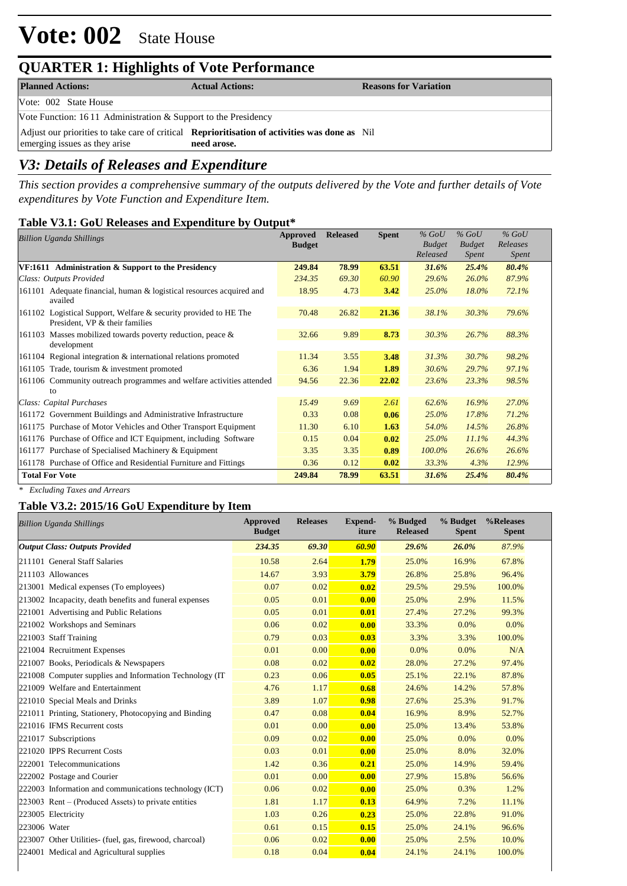# **Vote: 002** State House

### **QUARTER 1: Highlights of Vote Performance**

| <b>Planned Actions:</b>                                        | <b>Actual Actions:</b>                                                                                              | <b>Reasons for Variation</b> |
|----------------------------------------------------------------|---------------------------------------------------------------------------------------------------------------------|------------------------------|
| Vote: 002 State House                                          |                                                                                                                     |                              |
| Vote Function: 1611 Administration & Support to the Presidency |                                                                                                                     |                              |
| emerging issues as they arise                                  | Adjust our priorities to take care of critical <b>Reprioritisation of activities was done as</b> Nil<br>need arose. |                              |
|                                                                |                                                                                                                     |                              |

### *V3: Details of Releases and Expenditure*

*This section provides a comprehensive summary of the outputs delivered by the Vote and further details of Vote expenditures by Vote Function and Expenditure Item.*

#### **Table V3.1: GoU Releases and Expenditure by Output\***

| <b>Billion Uganda Shillings</b>                                                                    | Approved<br><b>Budget</b> | <b>Released</b> | <b>Spent</b> | $%$ GoU<br><b>Budget</b> | $%$ GoU<br><b>Budget</b> | $%$ GoU<br>Releases |
|----------------------------------------------------------------------------------------------------|---------------------------|-----------------|--------------|--------------------------|--------------------------|---------------------|
|                                                                                                    |                           |                 |              | Released                 | <i>Spent</i>             | Spent               |
| VF:1611 Administration & Support to the Presidency                                                 | 249.84                    | <b>78.99</b>    | 63.51        | 31.6%                    | 25.4%                    | 80.4%               |
| Class: Outputs Provided                                                                            | 234.35                    | 69.30           | 60.90        | 29.6%                    | 26.0%                    | 87.9%               |
| 161101 Adequate financial, human & logistical resources acquired and<br>availed                    | 18.95                     | 4.73            | 3.42         | 25.0%                    | 18.0%                    | 72.1%               |
| 161102 Logistical Support, Welfare & security provided to HE The<br>President, VP & their families | 70.48                     | 26.82           | 21.36        | 38.1%                    | 30.3%                    | 79.6%               |
| 161103 Masses mobilized towards poverty reduction, peace $\&$<br>development                       | 32.66                     | 9.89            | 8.73         | 30.3%                    | 26.7%                    | 88.3%               |
| 161104 Regional integration & international relations promoted                                     | 11.34                     | 3.55            | 3.48         | 31.3%                    | 30.7%                    | 98.2%               |
| 161105 Trade, tourism & investment promoted                                                        | 6.36                      | 1.94            | 1.89         | 30.6%                    | 29.7%                    | 97.1%               |
| 161106 Community outreach programmes and welfare activities attended                               | 94.56                     | 22.36           | 22.02        | 23.6%                    | 23.3%                    | 98.5%               |
| to                                                                                                 |                           |                 |              |                          |                          |                     |
| Class: Capital Purchases                                                                           | 15.49                     | 9.69            | 2.61         | 62.6%                    | 16.9%                    | 27.0%               |
| 161172 Government Buildings and Administrative Infrastructure                                      | 0.33                      | 0.08            | 0.06         | $25.0\%$                 | 17.8%                    | 71.2%               |
| 161175 Purchase of Motor Vehicles and Other Transport Equipment                                    | 11.30                     | 6.10            | 1.63         | 54.0%                    | 14.5%                    | 26.8%               |
| 161176 Purchase of Office and ICT Equipment, including Software                                    | 0.15                      | 0.04            | 0.02         | 25.0%                    | 11.1%                    | 44.3%               |
| 161177 Purchase of Specialised Machinery & Equipment                                               | 3.35                      | 3.35            | 0.89         | 100.0%                   | 26.6%                    | 26.6%               |
| 161178 Purchase of Office and Residential Furniture and Fittings                                   | 0.36                      | 0.12            | 0.02         | 33.3%                    | 4.3%                     | 12.9%               |
| <b>Total For Vote</b>                                                                              | 249.84                    | 78.99           | 63.51        | 31.6%                    | 25.4%                    | 80.4%               |

*\* Excluding Taxes and Arrears*

#### **Table V3.2: 2015/16 GoU Expenditure by Item**

|              | <b>Billion Uganda Shillings</b>                          | Approved<br><b>Budget</b> | <b>Releases</b> | <b>Expend-</b><br>iture | % Budged<br><b>Released</b> | % Budget<br><b>Spent</b> | %Releases<br><b>Spent</b> |
|--------------|----------------------------------------------------------|---------------------------|-----------------|-------------------------|-----------------------------|--------------------------|---------------------------|
|              | <b>Output Class: Outputs Provided</b>                    | 234.35                    | 69.30           | 60.90                   | 29.6%                       | 26.0%                    | 87.9%                     |
|              | 211101 General Staff Salaries                            | 10.58                     | 2.64            | 1.79                    | 25.0%                       | 16.9%                    | 67.8%                     |
|              | 211103 Allowances                                        | 14.67                     | 3.93            | 3.79                    | 26.8%                       | 25.8%                    | 96.4%                     |
|              | 213001 Medical expenses (To employees)                   | 0.07                      | 0.02            | 0.02                    | 29.5%                       | 29.5%                    | 100.0%                    |
|              | 213002 Incapacity, death benefits and funeral expenses   | 0.05                      | 0.01            | 0.00                    | 25.0%                       | 2.9%                     | 11.5%                     |
|              | 221001 Advertising and Public Relations                  | 0.05                      | 0.01            | 0.01                    | 27.4%                       | 27.2%                    | 99.3%                     |
|              | 221002 Workshops and Seminars                            | 0.06                      | 0.02            | 0.00                    | 33.3%                       | 0.0%                     | 0.0%                      |
|              | 221003 Staff Training                                    | 0.79                      | 0.03            | 0.03                    | 3.3%                        | 3.3%                     | 100.0%                    |
|              | 221004 Recruitment Expenses                              | 0.01                      | 0.00            | 0.00                    | 0.0%                        | 0.0%                     | N/A                       |
|              | 221007 Books, Periodicals & Newspapers                   | 0.08                      | 0.02            | 0.02                    | 28.0%                       | 27.2%                    | 97.4%                     |
|              | 221008 Computer supplies and Information Technology (IT) | 0.23                      | 0.06            | 0.05                    | 25.1%                       | 22.1%                    | 87.8%                     |
|              | 221009 Welfare and Entertainment                         | 4.76                      | 1.17            | 0.68                    | 24.6%                       | 14.2%                    | 57.8%                     |
|              | 221010 Special Meals and Drinks                          | 3.89                      | 1.07            | 0.98                    | 27.6%                       | 25.3%                    | 91.7%                     |
|              | 221011 Printing, Stationery, Photocopying and Binding    | 0.47                      | 0.08            | 0.04                    | 16.9%                       | 8.9%                     | 52.7%                     |
|              | 221016 IFMS Recurrent costs                              | 0.01                      | 0.00            | 0.00                    | 25.0%                       | 13.4%                    | 53.8%                     |
|              | 221017 Subscriptions                                     | 0.09                      | 0.02            | 0.00                    | 25.0%                       | 0.0%                     | 0.0%                      |
|              | 221020 IPPS Recurrent Costs                              | 0.03                      | 0.01            | 0.00                    | 25.0%                       | 8.0%                     | 32.0%                     |
|              | 222001 Telecommunications                                | 1.42                      | 0.36            | 0.21                    | 25.0%                       | 14.9%                    | 59.4%                     |
|              | 222002 Postage and Courier                               | 0.01                      | 0.00            | 0.00                    | 27.9%                       | 15.8%                    | 56.6%                     |
|              | 222003 Information and communications technology (ICT)   | 0.06                      | 0.02            | 0.00                    | 25.0%                       | 0.3%                     | 1.2%                      |
|              | 223003 Rent – (Produced Assets) to private entities      | 1.81                      | 1.17            | 0.13                    | 64.9%                       | 7.2%                     | 11.1%                     |
|              | 223005 Electricity                                       | 1.03                      | 0.26            | 0.23                    | 25.0%                       | 22.8%                    | 91.0%                     |
| 223006 Water |                                                          | 0.61                      | 0.15            | 0.15                    | 25.0%                       | 24.1%                    | 96.6%                     |
|              | 223007 Other Utilities- (fuel, gas, firewood, charcoal)  | 0.06                      | 0.02            | 0.00                    | 25.0%                       | 2.5%                     | 10.0%                     |
|              | 224001 Medical and Agricultural supplies                 | 0.18                      | 0.04            | 0.04                    | 24.1%                       | 24.1%                    | 100.0%                    |